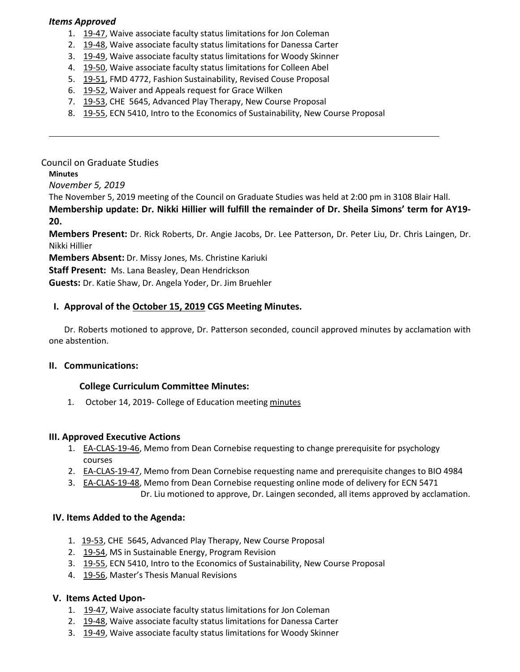### *Items Approved*

- 1. [19-47, W](http://castle.eiu.edu/eiucgs/currentagendaitems/agenda19-47.pdf)aive associate faculty status limitations for Jon Coleman
- 2. [19-48,](http://castle.eiu.edu/eiucgs/currentagendaitems/agenda19-48.pdf) Waive associate faculty status limitations for Danessa Carter
- 3. [19-49, W](http://castle.eiu.edu/eiucgs/currentagendaitems/agenda19-49.pdf)aive associate faculty status limitations for Woody Skinner
- 4. [19-50,](http://castle.eiu.edu/eiucgs/currentagendaitems/agenda19-50.pdf) Waive associate faculty status limitations for Colleen Abel
- 5. [19-51,](http://castle.eiu.edu/eiucgs/currentagendaitems/agenda19-51.pdf) FMD 4772, Fashion Sustainability, Revised Couse Proposal
- 6. [19-52,](http://castle.eiu.edu/eiucgs/currentagendaitems/agenda19-52.pdf) Waiver and Appeals request for Grace Wilken
- 7. [19-53](http://castle.eiu.edu/eiucgs/currentagendaitems/agenda19-53.pdf), CHE 5645, Advanced Play Therapy, New Course Proposal
- 8. [19-55,](http://castle.eiu.edu/eiucgs/currentagendaitems/agenda19-55.pdf) ECN 5410, Intro to the Economics of Sustainability, New Course Proposal

### Council on Graduate Studies

### **Minutes**

*November 5, 2019*

The November 5, 2019 meeting of the Council on Graduate Studies was held at 2:00 pm in 3108 Blair Hall.

**Membership update: Dr. Nikki Hillier will fulfill the remainder of Dr. Sheila Simons' term for AY19- 20.**

**Members Present:** Dr. Rick Roberts, Dr. Angie Jacobs, Dr. Lee Patterson, Dr. Peter Liu, Dr. Chris Laingen, Dr. Nikki Hillier

**Members Absent:** Dr. Missy Jones, Ms. Christine Kariuki

**Staff Present:** Ms. Lana Beasley, Dean Hendrickson

**Guests:** Dr. Katie Shaw, Dr. Angela Yoder, Dr. Jim Bruehler

# **I. Approval of th[e October](http://castle.eiu.edu/eiucgs/currentminutes/Minutes10-15-19.pdf) 15, 2019 CGS Meeting Minutes.**

Dr. Roberts motioned to approve, Dr. Patterson seconded, council approved minutes by acclamation with one abstention.

#### **II. Communications:**

#### **College Curriculum Committee Minutes:**

1. October 14, 2019- College of Education meeting [minutes](https://www.eiu.edu/coe/ay20192020/coe_curr_minutes_10142019.pdf)

#### **III. Approved Executive Actions**

- 1. [EA-CLAS-19-46](http://castle.eiu.edu/eiucgs/exec-actions/EA-CLAS-19-46.pdf), Memo from Dean Cornebise requesting to change prerequisite for psychology courses
- 2. [EA-CLAS-19-47,](http://castle.eiu.edu/eiucgs/exec-actions/EA-CLAS-19-47.pdf) Memo from Dean Cornebise requesting name and prerequisite changes to BIO 4984
- 3. [EA-CLAS-19-48,](http://castle.eiu.edu/eiucgs/exec-actions/EA-CLAS-19-48.pdf) Memo from Dean Cornebise requesting online mode of delivery for ECN 5471 Dr. Liu motioned to approve, Dr. Laingen seconded, all items approved by acclamation.

# **IV. Items Added to the Agenda:**

- 1. [19-53,](http://castle.eiu.edu/eiucgs/currentagendaitems/agenda19-53.pdf) CHE 5645, Advanced Play Therapy, New Course Proposal
- 2. [19-54,](http://castle.eiu.edu/eiucgs/currentagendaitems/agenda19-54.pdf) MS in Sustainable Energy, Program Revision
- 3. [19-55, E](http://castle.eiu.edu/eiucgs/currentagendaitems/agenda19-55.pdf)CN 5410, Intro to the Economics of Sustainability, New Course Proposal
- 4. [19-56, M](http://castle.eiu.edu/eiucgs/currentagendaitems/agenda19-56.pdf)aster's Thesis Manual Revisions

# **V. Items Acted Upon-**

- 1. [19-47, W](http://castle.eiu.edu/eiucgs/currentagendaitems/agenda19-47.pdf)aive associate faculty status limitations for Jon Coleman
- 2. [19-48, W](http://castle.eiu.edu/eiucgs/currentagendaitems/agenda19-48.pdf)aive associate faculty status limitations for Danessa Carter
- 3. [19-49,](http://castle.eiu.edu/eiucgs/currentagendaitems/agenda19-49.pdf) Waive associate faculty status limitations for Woody Skinner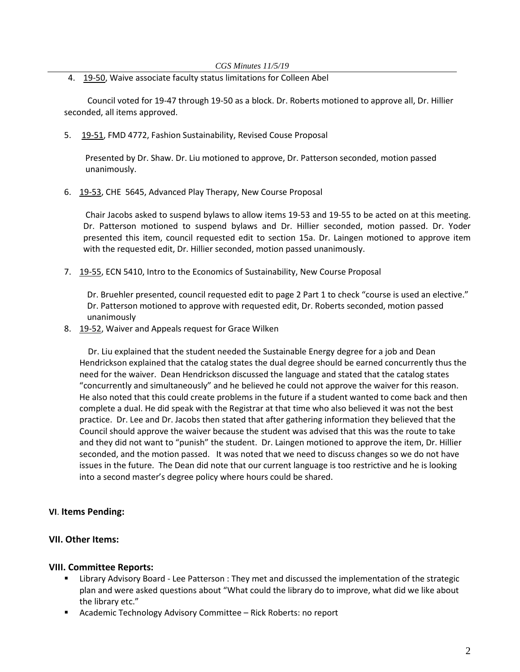4. [19-50,](http://castle.eiu.edu/eiucgs/currentagendaitems/agenda19-50.pdf) Waive associate faculty status limitations for Colleen Abel

 Council voted for 19-47 through 19-50 as a block. Dr. Roberts motioned to approve all, Dr. Hillier seconded, all items approved.

5. [19-51, F](http://castle.eiu.edu/eiucgs/currentagendaitems/agenda19-51.pdf)MD 4772, Fashion Sustainability, Revised Couse Proposal

 Presented by Dr. Shaw. Dr. Liu motioned to approve, Dr. Patterson seconded, motion passed unanimously.

6. [19-53](http://castle.eiu.edu/eiucgs/currentagendaitems/agenda19-53.pdf), CHE 5645, Advanced Play Therapy, New Course Proposal

Chair Jacobs asked to suspend bylaws to allow items 19-53 and 19-55 to be acted on at this meeting. Dr. Patterson motioned to suspend bylaws and Dr. Hillier seconded, motion passed. Dr. Yoder presented this item, council requested edit to section 15a. Dr. Laingen motioned to approve item with the requested edit, Dr. Hillier seconded, motion passed unanimously.

7. [19-55,](http://castle.eiu.edu/eiucgs/currentagendaitems/agenda19-55.pdf) ECN 5410, Intro to the Economics of Sustainability, New Course Proposal

Dr. Bruehler presented, council requested edit to page 2 Part 1 to check "course is used an elective." Dr. Patterson motioned to approve with requested edit, Dr. Roberts seconded, motion passed unanimously

8. [19-52, W](http://castle.eiu.edu/eiucgs/currentagendaitems/agenda19-52.pdf)aiver and Appeals request for Grace Wilken

 Dr. Liu explained that the student needed the Sustainable Energy degree for a job and Dean Hendrickson explained that the catalog states the dual degree should be earned concurrently thus the need for the waiver. Dean Hendrickson discussed the language and stated that the catalog states "concurrently and simultaneously" and he believed he could not approve the waiver for this reason. He also noted that this could create problems in the future if a student wanted to come back and then complete a dual. He did speak with the Registrar at that time who also believed it was not the best practice. Dr. Lee and Dr. Jacobs then stated that after gathering information they believed that the Council should approve the waiver because the student was advised that this was the route to take and they did not want to "punish" the student. Dr. Laingen motioned to approve the item, Dr. Hillier seconded, and the motion passed. It was noted that we need to discuss changes so we do not have issues in the future. The Dean did note that our current language is too restrictive and he is looking into a second master's degree policy where hours could be shared.

# **VI**. **Items Pending:**

# **VII. Other Items:**

# **VIII. Committee Reports:**

- Library Advisory Board Lee Patterson : They met and discussed the implementation of the strategic plan and were asked questions about "What could the library do to improve, what did we like about the library etc."
- Academic Technology Advisory Committee Rick Roberts: no report